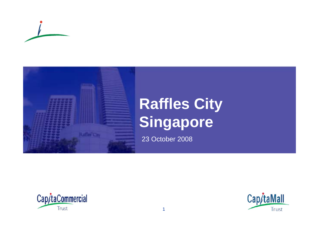



# **Raffles City Singapore**

23 October 2008



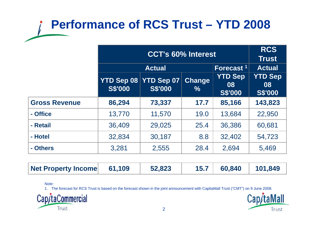## **Performance of RCS Trust – YTD 2008**

|                      | <b>CCT's 60% Interest</b>    |                                     |                         |                                        | <b>RCS</b><br>Trust                    |
|----------------------|------------------------------|-------------------------------------|-------------------------|----------------------------------------|----------------------------------------|
|                      | <b>Actual</b>                |                                     |                         | Forecast <sup>1</sup>                  | <b>Actual</b>                          |
|                      | YTD Sep 08<br><b>S\$'000</b> | <b>YTD Sep 07</b><br><b>S\$'000</b> | Change<br>$\frac{0}{0}$ | <b>YTD Sep</b><br>08<br><b>S\$'000</b> | <b>YTD Sep</b><br>08<br><b>S\$'000</b> |
| <b>Gross Revenue</b> | 86,294                       | 73,337                              | 17.7                    | 85,166                                 | 143,823                                |
| - Office             | 13,770                       | 11,570                              | 19.0                    | 13,684                                 | 22,950                                 |
| - Retail             | 36,409                       | 29,025                              | 25.4                    | 36,386                                 | 60,681                                 |
| - Hotel              | 32,834                       | 30,187                              | 8.8                     | 32,402                                 | 54,723                                 |
| - Others             | 3,281                        | 2,555                               | 28.4                    | 2,694                                  | 5,469                                  |

| Net Property Income 61,109 |  | 52,823 |  | $15.7$ 60,840 | 101,849 |
|----------------------------|--|--------|--|---------------|---------|
|----------------------------|--|--------|--|---------------|---------|

Note:

1. The forecast for RCS Trust is based on the forecast shown in the joint announcement with CapitaMall Trust ("CMT") on 9 June 2008.



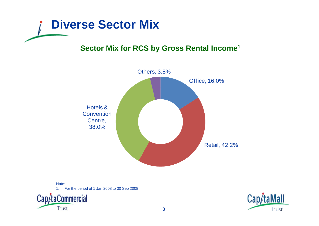

### **Sector Mix for RCS by Gross Rental Income1**



Note: 1. For the period of 1 Jan 2008 to 30 Se p 2008 p p



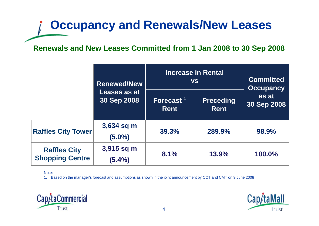# **Occupancy and Renewals/New Leases**

### **Renewals and New Leases Committed from 1 Jan 2008 to 30 Sep 2008**

|                                               | <b>Renewed/New</b>          | <b>Increase in Rental</b><br><b>VS</b> | <b>Committed</b><br><b>Occupancy</b> |                      |
|-----------------------------------------------|-----------------------------|----------------------------------------|--------------------------------------|----------------------|
|                                               | Leases as at<br>30 Sep 2008 | Forecast <sup>1</sup><br><b>Rent</b>   | <b>Preceding</b><br><b>Rent</b>      | as at<br>30 Sep 2008 |
| <b>Raffles City Tower</b>                     | 3,634 sq m<br>$(5.0\%)$     | 39.3%                                  | 289.9%                               | 98.9%                |
| <b>Raffles City</b><br><b>Shopping Centre</b> | 3,915 sq m<br>$(5.4\%)$     | 8.1%                                   | 13.9%                                | 100.0%               |

Note:

1. Based on the manager's forecast and assumptions as shown in the joint announcement by CCT and CMT on 9 June 2008



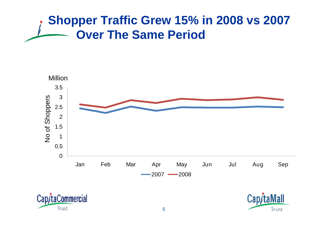### **Shopper Traffic Grew 15% in 2008 vs 2007 Over The Same Period**





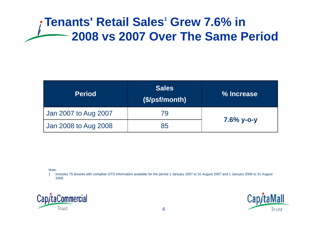### **Tenants' Retail Sales<sup>1</sup> Grew 7.6% in 2008 vs 2007 Over The Same Period**

| <b>Period</b>        | <b>Sales</b><br>(S/psf/month) | % Increase    |  |
|----------------------|-------------------------------|---------------|--|
| Jan 2007 to Aug 2007 | 79                            | $7.6\%$ y-o-y |  |
| Jan 2008 to Aug 2008 | 85                            |               |  |

Note:

1 Includes 75 tenants with complete GTO information available for the period 1 January 2007 to 31 August 2007 and 1 January 2008 to 31 August 2008.



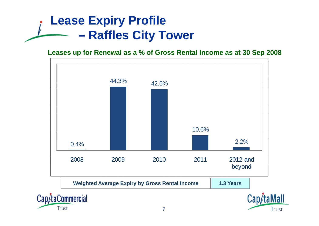## **Lease Expiry Profile Raffles City Tower**

Trust

#### **Leases up for Renewal as a % of Gross Rental Income as at 30 Sep 2008**



Trust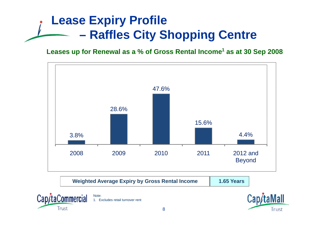## **Lease Expiry Profile Raffles City Shopping Centre**

**Leases up for Renewal as a % of Gross Rental Income<sup>1</sup> as at 30 Sep <sup>2008</sup>**



| <b>Weighted Average Expiry by Gross Rental Income</b> | 1.65 Years |
|-------------------------------------------------------|------------|
|-------------------------------------------------------|------------|



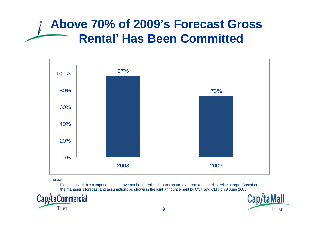### **Above 70% of 2009's Forecast Gross Rental<sup>1</sup> Has Been Committed**



Note:

1. Excluding variable components that have not been realised , such as turnover rent and hotel service charge. Based on the manager's forecast and assumptions as shown in the joint announcement by CCT and CMT on 9 June 2008



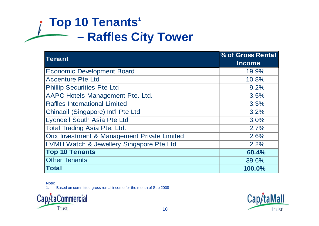## **Top 10 Tenants<sup>1</sup> Raffles City Tower**

| <b>Tenant</b>                                | % of Gross Rental |
|----------------------------------------------|-------------------|
|                                              | <b>Income</b>     |
| <b>Economic Development Board</b>            | 19.9%             |
| <b>Accenture Pte Ltd</b>                     | 10.8%             |
| <b>Phillip Securities Pte Ltd</b>            | 9.2%              |
| AAPC Hotels Management Pte. Ltd.             | 3.5%              |
| <b>Raffles International Limited</b>         | 3.3%              |
| Chinaoil (Singapore) Int'l Pte Ltd           | 3.2%              |
| Lyondell South Asia Pte Ltd                  | 3.0%              |
| <b>Total Trading Asia Pte. Ltd.</b>          | 2.7%              |
| Orix Investment & Management Private Limited | 2.6%              |
| LVMH Watch & Jewellery Singapore Pte Ltd     | 2.2%              |
| <b>Top 10 Tenants</b>                        | 60.4%             |
| <b>Other Tenants</b>                         | 39.6%             |
| <b>Total</b>                                 | 100.0%            |

Note:

1. Based on committed gross rental income for the month of Sep 2008



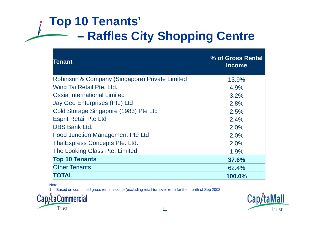## **Top 10 Tenants<sup>1</sup> Raffles City Shopping Centre**

| <b>Tenant</b>                                  | % of Gross Rental<br><b>Income</b> |
|------------------------------------------------|------------------------------------|
| Robinson & Company (Singapore) Private Limited | 13.9%                              |
| <b>Wing Tai Retail Pte. Ltd.</b>               | 4.9%                               |
| <b>Ossia International Limited</b>             | 3.2%                               |
| <b>Jay Gee Enterprises (Pte) Ltd</b>           | 2.8%                               |
| Cold Storage Singapore (1983) Pte Ltd          | 2.5%                               |
| <b>Esprit Retail Pte Ltd</b>                   | 2.4%                               |
| <b>DBS Bank Ltd.</b>                           | 2.0%                               |
| <b>Food Junction Management Pte Ltd</b>        | 2.0%                               |
| <b>ThaiExpress Concepts Pte. Ltd.</b>          | 2.0%                               |
| The Looking Glass Pte. Limited                 | 1.9%                               |
| <b>Top 10 Tenants</b>                          | 37.6%                              |
| <b>Other Tenants</b>                           | 62.4%                              |
| <b>TOTAL</b>                                   | 100.0%                             |

Note:

1. Based on committed gross rental income (excluding retail turnover rent) for the month of Sep 2008



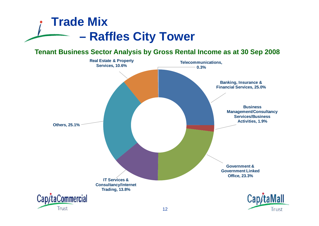

**Tenant Business Sector Analysis by Gross Rental Income as at 30 Sep 2008**

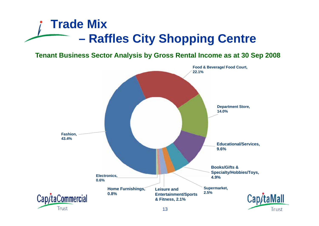### **Trade Mix –R ffl Cit Raffles City Sh i C t Shopping Centre**

**Tenant Business Sector Analysis by Gross Rental Income as at 30 Sep 2008**